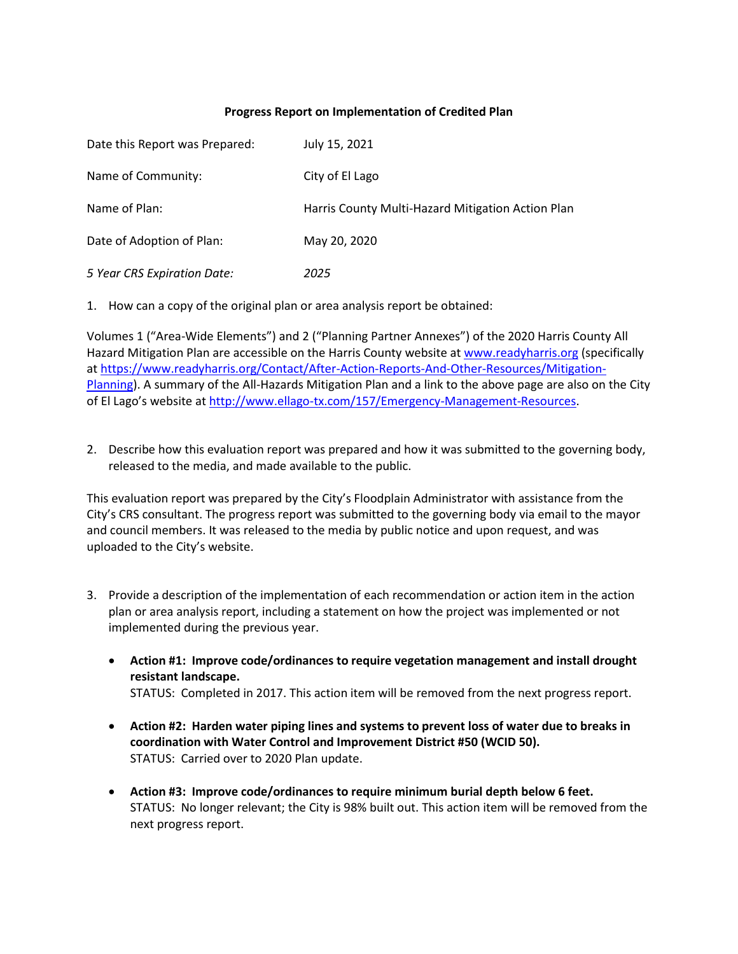## **Progress Report on Implementation of Credited Plan**

| Date this Report was Prepared: | July 15, 2021                                     |
|--------------------------------|---------------------------------------------------|
| Name of Community:             | City of El Lago                                   |
| Name of Plan:                  | Harris County Multi-Hazard Mitigation Action Plan |
| Date of Adoption of Plan:      | May 20, 2020                                      |
| 5 Year CRS Expiration Date:    | 2025                                              |

1. How can a copy of the original plan or area analysis report be obtained:

Volumes 1 ("Area-Wide Elements") and 2 ("Planning Partner Annexes") of the 2020 Harris County All Hazard Mitigation Plan are accessible on the Harris County website at [www.readyharris.org](http://www.readyharris.org/) (specifically a[t https://www.readyharris.org/Contact/After-Action-Reports-And-Other-Resources/Mitigation-](https://www.readyharris.org/Contact/After-Action-Reports-And-Other-Resources/Mitigation-Planning)[Planning\)](https://www.readyharris.org/Contact/After-Action-Reports-And-Other-Resources/Mitigation-Planning). A summary of the All-Hazards Mitigation Plan and a link to the above page are also on the City of El Lago's website at [http://www.ellago-tx.com/157/Emergency-Management-Resources.](http://www.ellago-tx.com/157/Emergency-Management-Resources)

2. Describe how this evaluation report was prepared and how it was submitted to the governing body, released to the media, and made available to the public.

This evaluation report was prepared by the City's Floodplain Administrator with assistance from the City's CRS consultant. The progress report was submitted to the governing body via email to the mayor and council members. It was released to the media by public notice and upon request, and was uploaded to the City's website.

- 3. Provide a description of the implementation of each recommendation or action item in the action plan or area analysis report, including a statement on how the project was implemented or not implemented during the previous year.
	- **Action #1: Improve code/ordinances to require vegetation management and install drought resistant landscape.** STATUS: Completed in 2017. This action item will be removed from the next progress report.
	- **Action #2: Harden water piping lines and systems to prevent loss of water due to breaks in coordination with Water Control and Improvement District #50 (WCID 50).** STATUS: Carried over to 2020 Plan update.
	- **Action #3: Improve code/ordinances to require minimum burial depth below 6 feet.** STATUS: No longer relevant; the City is 98% built out. This action item will be removed from the next progress report.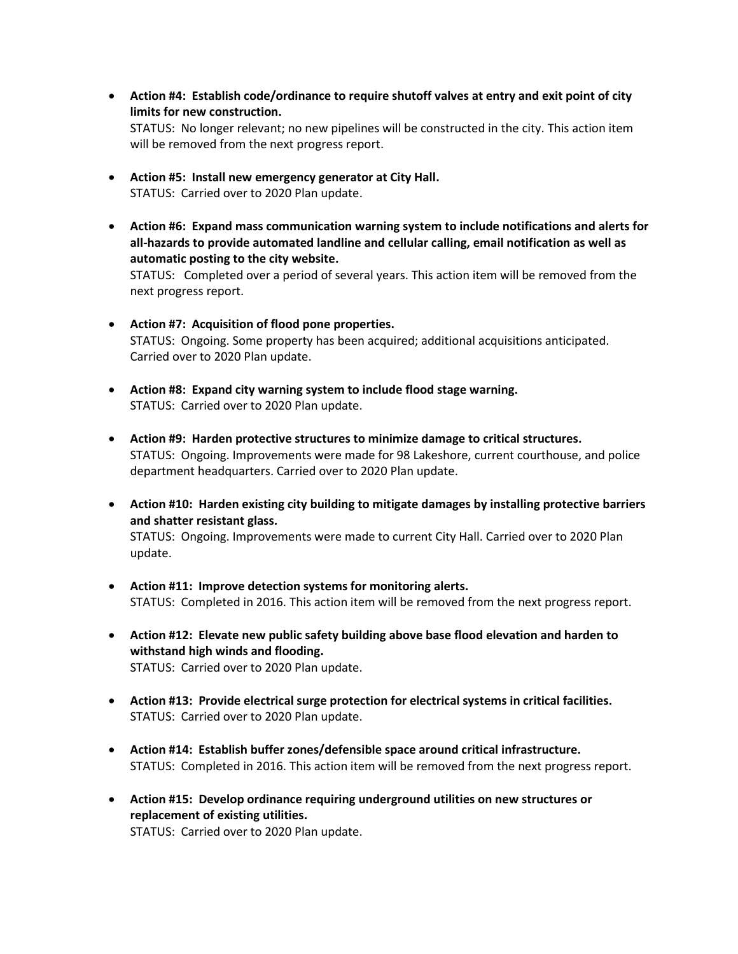- **Action #4: Establish code/ordinance to require shutoff valves at entry and exit point of city limits for new construction.**  STATUS: No longer relevant; no new pipelines will be constructed in the city. This action item will be removed from the next progress report.
- **Action #5: Install new emergency generator at City Hall.** STATUS: Carried over to 2020 Plan update.
- **Action #6: Expand mass communication warning system to include notifications and alerts for all-hazards to provide automated landline and cellular calling, email notification as well as automatic posting to the city website.**

STATUS: Completed over a period of several years. This action item will be removed from the next progress report.

- **Action #7: Acquisition of flood pone properties.** STATUS: Ongoing. Some property has been acquired; additional acquisitions anticipated. Carried over to 2020 Plan update.
- **Action #8: Expand city warning system to include flood stage warning.** STATUS: Carried over to 2020 Plan update.
- **Action #9: Harden protective structures to minimize damage to critical structures.** STATUS: Ongoing. Improvements were made for 98 Lakeshore, current courthouse, and police department headquarters. Carried over to 2020 Plan update.
- **Action #10: Harden existing city building to mitigate damages by installing protective barriers and shatter resistant glass.**

STATUS: Ongoing. Improvements were made to current City Hall. Carried over to 2020 Plan update.

- **Action #11: Improve detection systems for monitoring alerts.** STATUS: Completed in 2016. This action item will be removed from the next progress report.
- **Action #12: Elevate new public safety building above base flood elevation and harden to withstand high winds and flooding.** STATUS: Carried over to 2020 Plan update.
- **Action #13: Provide electrical surge protection for electrical systems in critical facilities.** STATUS: Carried over to 2020 Plan update.
- **Action #14: Establish buffer zones/defensible space around critical infrastructure.** STATUS: Completed in 2016. This action item will be removed from the next progress report.
- **Action #15: Develop ordinance requiring underground utilities on new structures or replacement of existing utilities.** STATUS: Carried over to 2020 Plan update.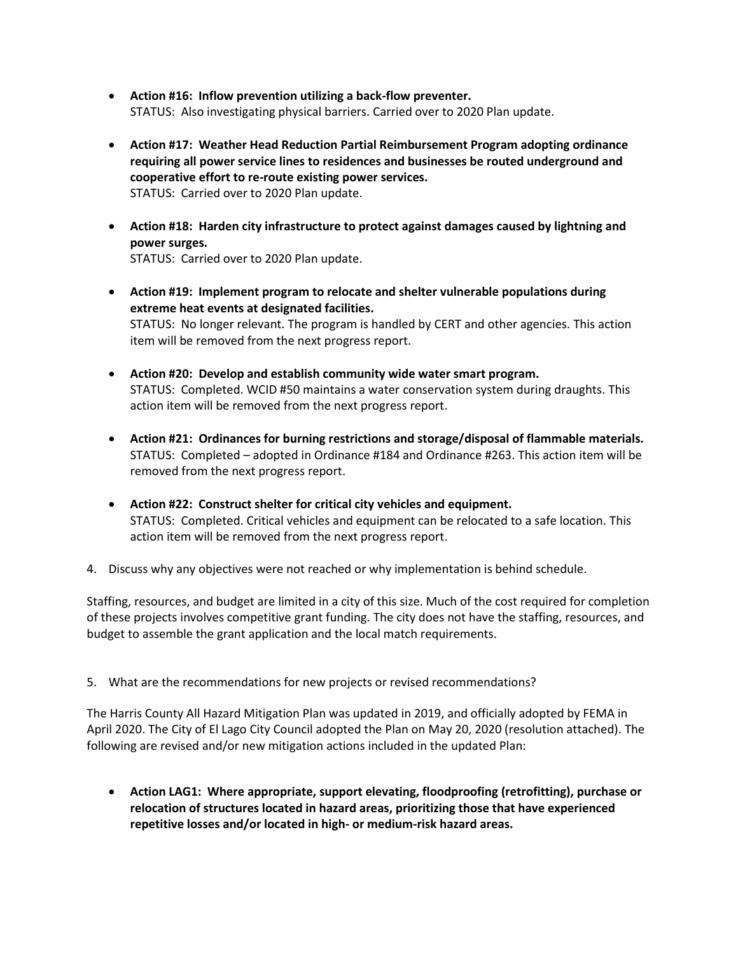- **Action #16: Inflow prevention utilizing a back-flow preventer.** STATUS: Also investigating physical barriers. Carried over to 2020 Plan update.
- **Action #17: Weather Head Reduction Partial Reimbursement Program adopting ordinance requiring all power service lines to residences and businesses be routed underground and cooperative effort to re-route existing power services.** STATUS: Carried over to 2020 Plan update.
- **Action #18: Harden city infrastructure to protect against damages caused by lightning and power surges.** STATUS: Carried over to 2020 Plan update.

• **Action #19: Implement program to relocate and shelter vulnerable populations during extreme heat events at designated facilities.** STATUS: No longer relevant. The program is handled by CERT and other agencies. This action item will be removed from the next progress report.

- **Action #20: Develop and establish community wide water smart program.** STATUS: Completed. WCID #50 maintains a water conservation system during draughts. This action item will be removed from the next progress report.
- **Action #21: Ordinances for burning restrictions and storage/disposal of flammable materials.** STATUS: Completed – adopted in Ordinance #184 and Ordinance #263. This action item will be removed from the next progress report.
- **Action #22: Construct shelter for critical city vehicles and equipment.** STATUS: Completed. Critical vehicles and equipment can be relocated to a safe location. This action item will be removed from the next progress report.
- 4. Discuss why any objectives were not reached or why implementation is behind schedule.

Staffing, resources, and budget are limited in a city of this size. Much of the cost required for completion of these projects involves competitive grant funding. The city does not have the staffing, resources, and budget to assemble the grant application and the local match requirements.

5. What are the recommendations for new projects or revised recommendations?

The Harris County All Hazard Mitigation Plan was updated in 2019, and officially adopted by FEMA in April 2020. The City of El Lago City Council adopted the Plan on May 20, 2020 (resolution attached). The following are revised and/or new mitigation actions included in the updated Plan:

• **Action LAG1: Where appropriate, support elevating, floodproofing (retrofitting), purchase or relocation of structures located in hazard areas, prioritizing those that have experienced repetitive losses and/or located in high- or medium-risk hazard areas.**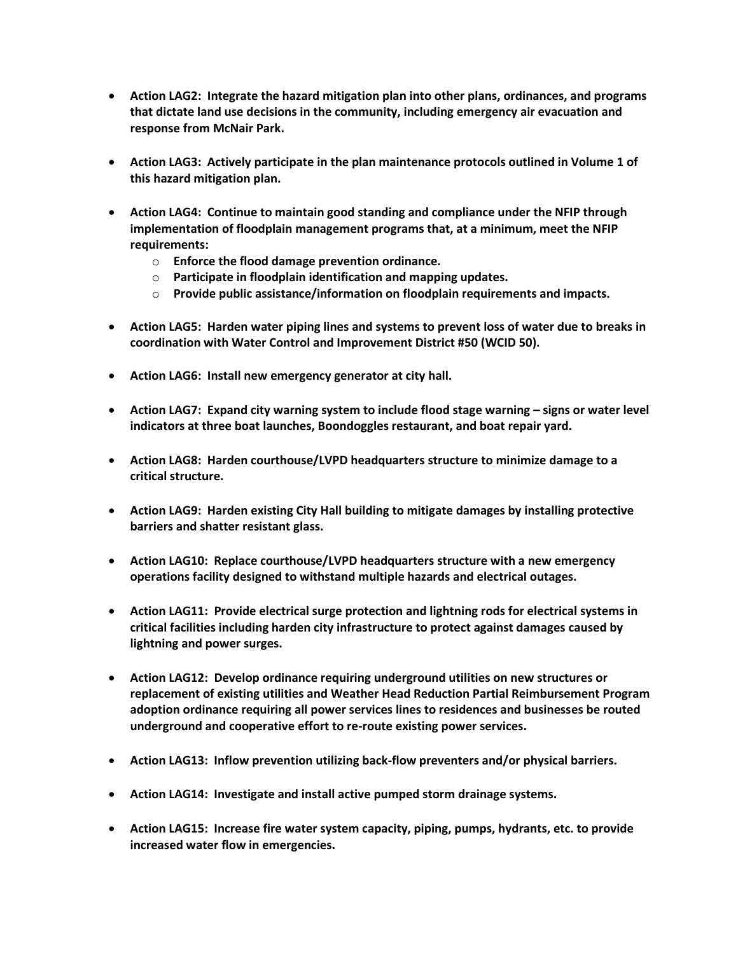- **Action LAG2: Integrate the hazard mitigation plan into other plans, ordinances, and programs that dictate land use decisions in the community, including emergency air evacuation and response from McNair Park.**
- **Action LAG3: Actively participate in the plan maintenance protocols outlined in Volume 1 of this hazard mitigation plan.**
- **Action LAG4: Continue to maintain good standing and compliance under the NFIP through implementation of floodplain management programs that, at a minimum, meet the NFIP requirements:** 
	- o **Enforce the flood damage prevention ordinance.**
	- o **Participate in floodplain identification and mapping updates.**
	- o **Provide public assistance/information on floodplain requirements and impacts.**
- **Action LAG5: Harden water piping lines and systems to prevent loss of water due to breaks in coordination with Water Control and Improvement District #50 (WCID 50).**
- **Action LAG6: Install new emergency generator at city hall.**
- **Action LAG7: Expand city warning system to include flood stage warning – signs or water level indicators at three boat launches, Boondoggles restaurant, and boat repair yard.**
- **Action LAG8: Harden courthouse/LVPD headquarters structure to minimize damage to a critical structure.**
- **Action LAG9: Harden existing City Hall building to mitigate damages by installing protective barriers and shatter resistant glass.**
- **Action LAG10: Replace courthouse/LVPD headquarters structure with a new emergency operations facility designed to withstand multiple hazards and electrical outages.**
- **Action LAG11: Provide electrical surge protection and lightning rods for electrical systems in critical facilities including harden city infrastructure to protect against damages caused by lightning and power surges.**
- **Action LAG12: Develop ordinance requiring underground utilities on new structures or replacement of existing utilities and Weather Head Reduction Partial Reimbursement Program adoption ordinance requiring all power services lines to residences and businesses be routed underground and cooperative effort to re-route existing power services.**
- **Action LAG13: Inflow prevention utilizing back-flow preventers and/or physical barriers.**
- **Action LAG14: Investigate and install active pumped storm drainage systems.**
- **Action LAG15: Increase fire water system capacity, piping, pumps, hydrants, etc. to provide increased water flow in emergencies.**